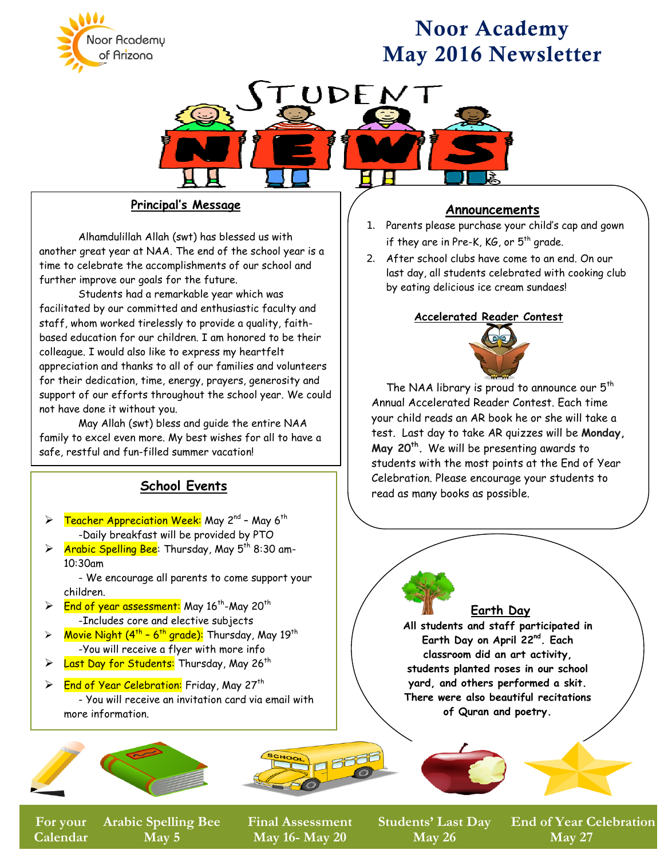

# Noor Academy May 2016 Newsletter



### **Principal's Message**

Alhamdulillah Allah (swt) has blessed us with another great year at NAA. The end of the school year is a time to celebrate the accomplishments of our school and further improve our goals for the future.

Students had a remarkable year which was facilitated by our committed and enthusiastic faculty and staff, whom worked tirelessly to provide a quality, faithbased education for our children. I am honored to be their colleague. I would also like to express my heartfelt appreciation and thanks to all of our families and volunteers for their dedication, time, energy, prayers, generosity and support of our efforts throughout the school year. We could not have done it without you.

May Allah (swt) bless and guide the entire NAA family to excel even more. My best wishes for all to have a safe, restful and fun-filled summer vacation!

### **School Events**

- Teacher Appreciation Week: May 2<sup>nd</sup> May 6<sup>th</sup> -Daily breakfast will be provided by PTO
- $\triangleright$  Arabic Spelling Bee: Thursday, May 5<sup>th</sup> 8:30 am-10:30am

- We encourage all parents to come support your children.

- $\triangleright$  End of year assessment: May 16<sup>th</sup>-May 20<sup>th</sup> -Includes core and elective subjects
- $\triangleright$  Movie Night (4<sup>th</sup> 6<sup>th</sup> grade): Thursday, May 19<sup>th</sup> -You will receive a flyer with more info
- > Last Day for Students: Thursday, May 26<sup>th</sup>

 $\triangleright$  End of Year Celebration: Friday, May 27<sup>th</sup> - You will receive an invitation card via email with more information.



**<sup>4</sup>th Quarter Begins For your Arabic Spelling Bee Calendar May 5**

**Final Assessment May 16- May 20**

**March 18**

**Announcements** 

- 1. Parents please purchase your child's cap and gown if they are in Pre-K,  $KG$ , or  $5<sup>th</sup>$  grade.
- 2. After school clubs have come to an end. On our last day, all students celebrated with cooking club by eating delicious ice cream sundaes!

#### **Accelerated Reader Contest**



The NAA library is proud to announce our  $5<sup>th</sup>$ Annual Accelerated Reader Contest. Each time your child reads an AR book he or she will take a test. Last day to take AR quizzes will be **Monday, May 20th.** We will be presenting awards to students with the most points at the End of Year Celebration. Please encourage your students to read as many books as possible.

### **Earth Day**

**All students and staff participated in Earth Day on April 22nd. Each classroom did an art activity, students planted roses in our school yard, and others performed a skit. There were also beautiful recitations of Quran and poetry.**

**March 24**

**May 26**

**A** Students' Last Day Er **End of Year Celebration May 27**

**March 25**